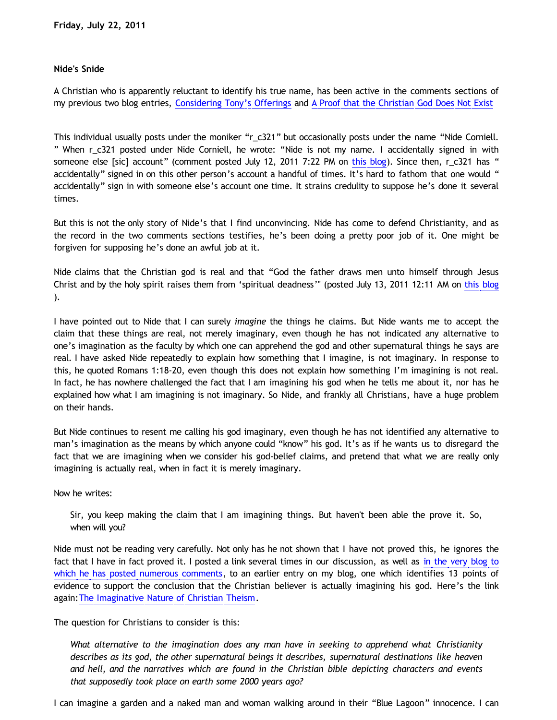## **Nide's Snide**

A Christian who is apparently reluctant to identify his true name, has been active in the comments sections of my previous two blog entries, [Considering Tony's Offerings](http://bahnsenburner.blogspot.com/2011/06/considering-tonys-offerings.html) and [A Proof that the Christian God Does Not Exist](http://bahnsenburner.blogspot.com/2011/07/proof-that-christian-god-does-not-exist.html)

This individual usually posts under the moniker "r\_c321" but occasionally posts under the name "Nide Corniell. " When r\_c321 posted under Nide Corniell, he wrote: "Nide is not my name. I accidentally signed in with someone else [sic] account" (comment posted July 12, 2011 7:22 PM on [this blog](http://bahnsenburner.blogspot.com/2011/06/considering-tonys-offerings.html)). Since then, r\_c321 has " accidentally" signed in on this other person's account a handful of times. It's hard to fathom that one would " accidentally" sign in with someone else's account one time. It strains credulity to suppose he's done it several times.

But this is not the only story of Nide's that I find unconvincing. Nide has come to defend Christianity, and as the record in the two comments sections testifies, he's been doing a pretty poor job of it. One might be forgiven for supposing he's done an awful job at it.

Nide claims that the Christian god is real and that "God the father draws men unto himself through Jesus Christ and by the holy spirit raises them from 'spiritual deadness'" (posted July 13, 2011 12:11 AM on [this blog](http://bahnsenburner.blogspot.com/2011/06/considering-tonys-offerings.html) ).

I have pointed out to Nide that I can surely *imagine* the things he claims. But Nide wants me to accept the claim that these things are real, not merely imaginary, even though he has not indicated any alternative to one's imagination as the faculty by which one can apprehend the god and other supernatural things he says are real. I have asked Nide repeatedly to explain how something that I imagine, is not imaginary. In response to this, he quoted Romans 1:18-20, even though this does not explain how something I'm imagining is not real. In fact, he has nowhere challenged the fact that I am imagining his god when he tells me about it, nor has he explained how what I am imagining is not imaginary. So Nide, and frankly all Christians, have a huge problem on their hands.

But Nide continues to resent me calling his god imaginary, even though he has not identified any alternative to man's imagination as the means by which anyone could "know" his god. It's as if he wants us to disregard the fact that we are imagining when we consider his god-belief claims, and pretend that what we are really only imagining is actually real, when in fact it is merely imaginary.

## Now he writes:

Sir, you keep making the claim that I am imagining things. But haven't been able the prove it. So, when will you?

Nide must not be reading very carefully. Not only has he not shown that I have not proved this, he ignores the fact that I have in fact proved it. I posted a link several times in our discussion, as well as [in the very blog to](http://bahnsenburner.blogspot.com/2011/07/proof-that-christian-god-does-not-exist.html) [which he has posted numerous comments](http://bahnsenburner.blogspot.com/2011/07/proof-that-christian-god-does-not-exist.html), to an earlier entry on my blog, one which identifies 13 points of evidence to support the conclusion that the Christian believer is actually imagining his god. Here's the link again:[The Imaginative Nature of Christian Theism](http://bahnsenburner.blogspot.com/2010/05/imaginative-nature-of-christian-theism.html).

The question for Christians to consider is this:

*What alternative to the imagination does any man have in seeking to apprehend what Christianity describes as its god, the other supernatural beings it describes, supernatural destinations like heaven and hell, and the narratives which are found in the Christian bible depicting characters and events that supposedly took place on earth some 2000 years ago?*

I can imagine a garden and a naked man and woman walking around in their "Blue Lagoon" innocence. I can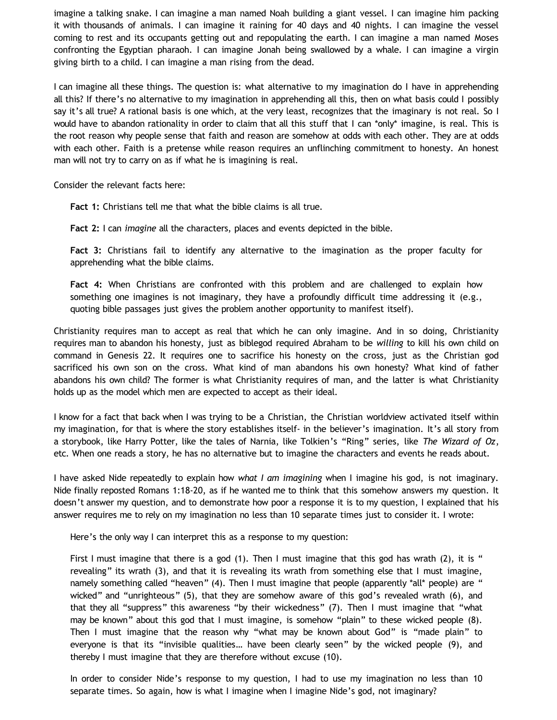imagine a talking snake. I can imagine a man named Noah building a giant vessel. I can imagine him packing it with thousands of animals. I can imagine it raining for 40 days and 40 nights. I can imagine the vessel coming to rest and its occupants getting out and repopulating the earth. I can imagine a man named Moses confronting the Egyptian pharaoh. I can imagine Jonah being swallowed by a whale. I can imagine a virgin giving birth to a child. I can imagine a man rising from the dead.

I can imagine all these things. The question is: what alternative to my imagination do I have in apprehending all this? If there's no alternative to my imagination in apprehending all this, then on what basis could I possibly say it's all true? A rational basis is one which, at the very least, recognizes that the imaginary is not real. So I would have to abandon rationality in order to claim that all this stuff that I can \*only\* imagine, is real. This is the root reason why people sense that faith and reason are somehow at odds with each other. They are at odds with each other. Faith is a pretense while reason requires an unflinching commitment to honesty. An honest man will not try to carry on as if what he is imagining is real.

Consider the relevant facts here:

**Fact 1:** Christians tell me that what the bible claims is all true.

**Fact 2:** I can *imagine* all the characters, places and events depicted in the bible.

**Fact 3:** Christians fail to identify any alternative to the imagination as the proper faculty for apprehending what the bible claims.

**Fact 4:** When Christians are confronted with this problem and are challenged to explain how something one imagines is not imaginary, they have a profoundly difficult time addressing it (e.g., quoting bible passages just gives the problem another opportunity to manifest itself).

Christianity requires man to accept as real that which he can only imagine. And in so doing, Christianity requires man to abandon his honesty, just as biblegod required Abraham to be *willing* to kill his own child on command in Genesis 22. It requires one to sacrifice his honesty on the cross, just as the Christian god sacrificed his own son on the cross. What kind of man abandons his own honesty? What kind of father abandons his own child? The former is what Christianity requires of man, and the latter is what Christianity holds up as the model which men are expected to accept as their ideal.

I know for a fact that back when I was trying to be a Christian, the Christian worldview activated itself within my imagination, for that is where the story establishes itself- in the believer's imagination. It's all story from a storybook, like Harry Potter, like the tales of Narnia, like Tolkien's "Ring" series, like *The Wizard of Oz*, etc. When one reads a story, he has no alternative but to imagine the characters and events he reads about.

I have asked Nide repeatedly to explain how *what I am imagining* when I imagine his god, is not imaginary. Nide finally reposted Romans 1:18-20, as if he wanted me to think that this somehow answers my question. It doesn't answer my question, and to demonstrate how poor a response it is to my question, I explained that his answer requires me to rely on my imagination no less than 10 separate times just to consider it. I wrote:

Here's the only way I can interpret this as a response to my question:

First I must imagine that there is a god (1). Then I must imagine that this god has wrath (2), it is " revealing" its wrath (3), and that it is revealing its wrath from something else that I must imagine, namely something called "heaven" (4). Then I must imagine that people (apparently \*all\* people) are " wicked" and "unrighteous" (5), that they are somehow aware of this god's revealed wrath (6), and that they all "suppress" this awareness "by their wickedness" (7). Then I must imagine that "what may be known" about this god that I must imagine, is somehow "plain" to these wicked people (8). Then I must imagine that the reason why "what may be known about God" is "made plain" to everyone is that its "invisible qualities… have been clearly seen" by the wicked people (9), and thereby I must imagine that they are therefore without excuse (10).

In order to consider Nide's response to my question, I had to use my imagination no less than 10 separate times. So again, how is what I imagine when I imagine Nide's god, not imaginary?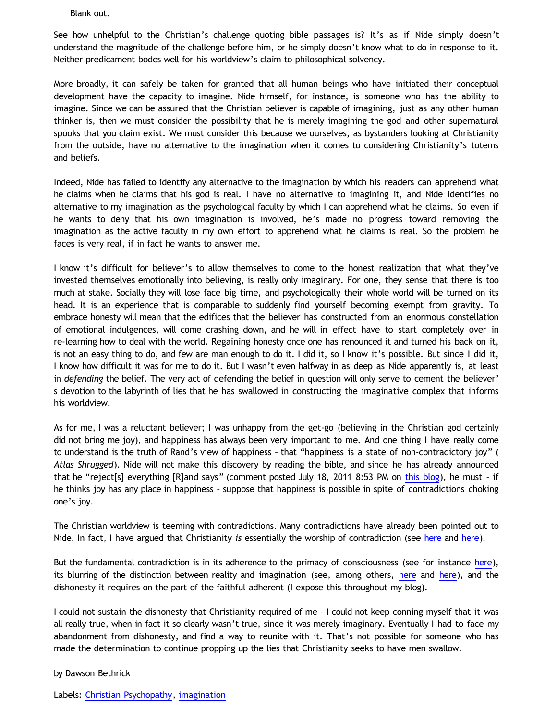Blank out.

See how unhelpful to the Christian's challenge quoting bible passages is? It's as if Nide simply doesn't understand the magnitude of the challenge before him, or he simply doesn't know what to do in response to it. Neither predicament bodes well for his worldview's claim to philosophical solvency.

More broadly, it can safely be taken for granted that all human beings who have initiated their conceptual development have the capacity to imagine. Nide himself, for instance, is someone who has the ability to imagine. Since we can be assured that the Christian believer is capable of imagining, just as any other human thinker is, then we must consider the possibility that he is merely imagining the god and other supernatural spooks that you claim exist. We must consider this because we ourselves, as bystanders looking at Christianity from the outside, have no alternative to the imagination when it comes to considering Christianity's totems and beliefs.

Indeed, Nide has failed to identify any alternative to the imagination by which his readers can apprehend what he claims when he claims that his god is real. I have no alternative to imagining it, and Nide identifies no alternative to my imagination as the psychological faculty by which I can apprehend what he claims. So even if he wants to deny that his own imagination is involved, he's made no progress toward removing the imagination as the active faculty in my own effort to apprehend what he claims is real. So the problem he faces is very real, if in fact he wants to answer me.

I know it's difficult for believer's to allow themselves to come to the honest realization that what they've invested themselves emotionally into believing, is really only imaginary. For one, they sense that there is too much at stake. Socially they will lose face big time, and psychologically their whole world will be turned on its head. It is an experience that is comparable to suddenly find yourself becoming exempt from gravity. To embrace honesty will mean that the edifices that the believer has constructed from an enormous constellation of emotional indulgences, will come crashing down, and he will in effect have to start completely over in re-learning how to deal with the world. Regaining honesty once one has renounced it and turned his back on it, is not an easy thing to do, and few are man enough to do it. I did it, so I know it's possible. But since I did it, I know how difficult it was for me to do it. But I wasn't even halfway in as deep as Nide apparently is, at least in *defending* the belief. The very act of defending the belief in question will only serve to cement the believer' s devotion to the labyrinth of lies that he has swallowed in constructing the imaginative complex that informs his worldview.

As for me, I was a reluctant believer; I was unhappy from the get-go (believing in the Christian god certainly did not bring me joy), and happiness has always been very important to me. And one thing I have really come to understand is the truth of Rand's view of happiness – that "happiness is a state of non-contradictory joy" ( *Atlas Shrugged*). Nide will not make this discovery by reading the bible, and since he has already announced that he "reject[s] everything [R]and says" (comment posted July 18, 2011 8:53 PM on [this blog\)](http://bahnsenburner.blogspot.com/2011/07/proof-that-christian-god-does-not-exist.html), he must – if he thinks joy has any place in happiness – suppose that happiness is possible in spite of contradictions choking one's joy.

The Christian worldview is teeming with contradictions. Many contradictions have already been pointed out to Nide. In fact, I have argued that Christianity *is* essentially the worship of contradiction (see [here](http://bahnsenburner.blogspot.com/2005/08/christianity-as-worship-of-self.html) and [here](http://bahnsenburner.blogspot.com/2005/08/christ-jesus-still-jumble-of.html)).

But the fundamental contradiction is in its adherence to the primacy of consciousness (see for instance [here\)](http://bahnsenburner.blogspot.com/2010/02/how-theism-violates-primacy-of.html), its blurring of the distinction between reality and imagination (see, among others, [here](http://bahnsenburner.blogspot.com/2007/07/role-of-imagination-in-christian-god.html) and [here](http://bahnsenburner.blogspot.com/2008/06/faith-as-hope-in-imaginary.html)), and the dishonesty it requires on the part of the faithful adherent (I expose this throughout my blog).

I could not sustain the dishonesty that Christianity required of me – I could not keep conning myself that it was all really true, when in fact it so clearly wasn't true, since it was merely imaginary. Eventually I had to face my abandonment from dishonesty, and find a way to reunite with it. That's not possible for someone who has made the determination to continue propping up the lies that Christianity seeks to have men swallow.

by Dawson Bethrick